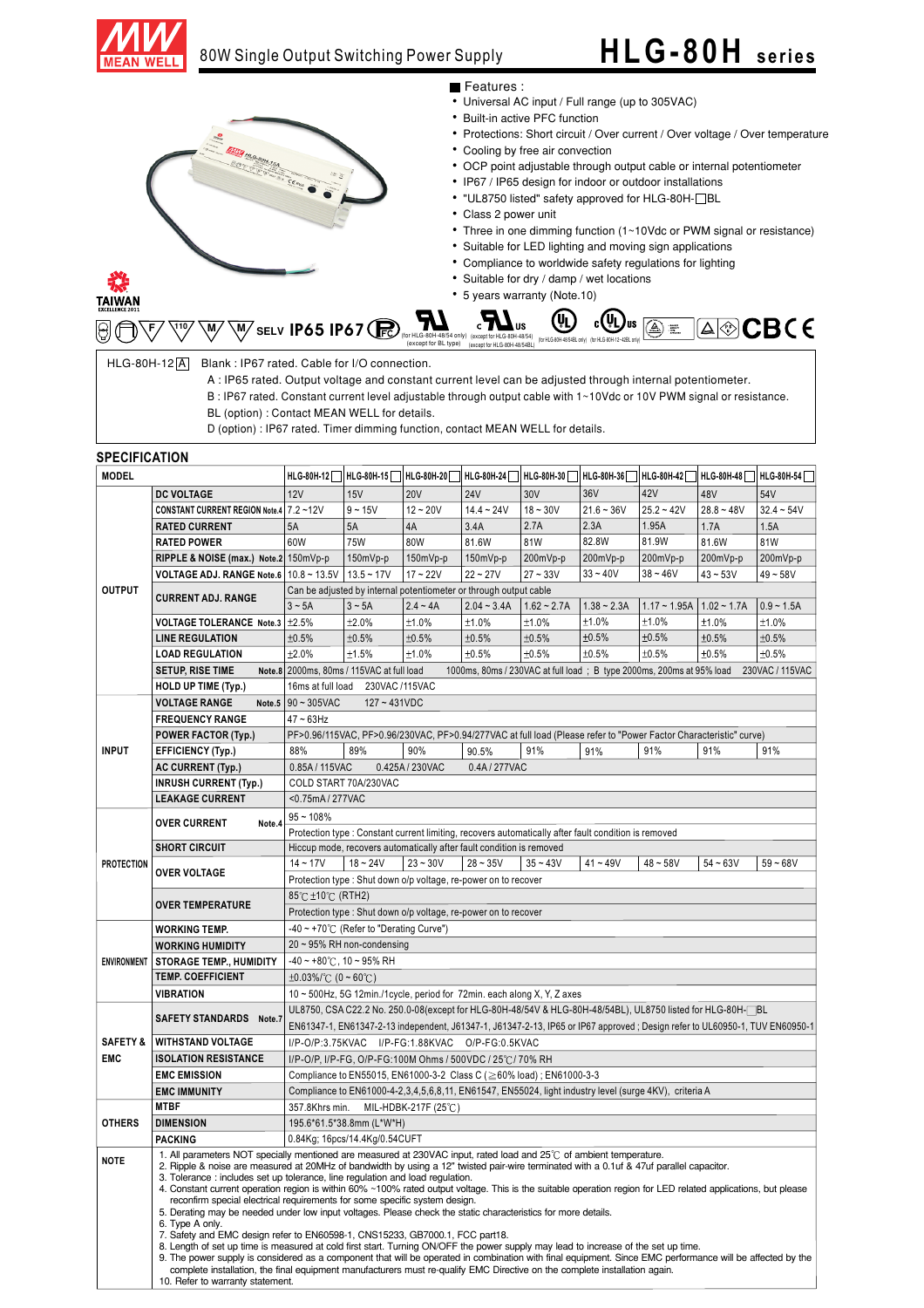

### 80W Single Output Switching Power Supply

## **HLG -80H series**

- Features :
- Universal AC input / Full range (up to 305VAC)
- Built-in active PFC function
- Protections: Short circuit / Over current / Over voltage / Over temperature
- Cooling by free air convection
- OCP point adjustable through output cable or internal potentiometer
- IP67 / IP65 design for indoor or outdoor installations
- "UL8750 listed" safety approved for HLG-80H-<sup>1</sup>BL
- Class 2 power unit
- Three in one dimming function (1~10Vdc or PWM signal or resistance)
- Suitable for LED lighting and moving sign applications
- Compliance to worldwide safety regulations for lighting
- 5 years warranty (Note.10) • Suitable for dry / damp / wet locations

**微**<br>TAIWAN

| <br><b>EXCELLENCE 2011</b> |  |  |                      |                              |     |                                                                                                                                                                                                          |  |  |
|----------------------------|--|--|----------------------|------------------------------|-----|----------------------------------------------------------------------------------------------------------------------------------------------------------------------------------------------------------|--|--|
|                            |  |  |                      | $\mathbf{R}$                 | (4) | $\mathbb{C}^{(\mathbb{Q})_{\text{us}}}\circledast\mathbb{R}^{(\mathbb{Q})}\circledast\mathbb{C}\otimes\mathbb{C}^{(\mathbb{Q})}\circledast\mathbb{C}^{(\mathbb{Q})}\circledast\mathbb{C}^{(\mathbb{Q})}$ |  |  |
|                            |  |  | (except for BL type) | (except for HLG-80H-48/54BL) |     | (for HLG-80H-48/54BL only) (for HLG-80H-12~42BL only)                                                                                                                                                    |  |  |

 $HLG-80H-12[A]$  Blank : IP67 rated. Cable for I/O connection.

 $\frac{Q}{2\pi R}$ 

**ESS MONDERNATION REPAIR** 

- A : IP65 rated. Output voltage and constant current level can be adjusted through internal potentiometer.
- B : IP67 rated. Constant current level adjustable through output cable with 1~10Vdc or 10V PWM signal or resistance.
- BL (option) : Contact MEAN WELL for details.
- D (option) : IP67 rated. Timer dimming function, contact MEAN WELL for details.

#### **SPECIFICATION**

| <b>MODEL</b>        |                                          |                                                                                                                                                                                                                                                                 |                                                                                                                                                                                       |                 | HLG-80H-12 HLG-80H-15 HLG-80H-20 HLG-80H-24 HLG-80H-30 HLG-80H-36 HLG-80H-42 HLG-80H-42 HLG-80H-48 HLG-80H-54 |            |              |              |              |                 |  |  |
|---------------------|------------------------------------------|-----------------------------------------------------------------------------------------------------------------------------------------------------------------------------------------------------------------------------------------------------------------|---------------------------------------------------------------------------------------------------------------------------------------------------------------------------------------|-----------------|---------------------------------------------------------------------------------------------------------------|------------|--------------|--------------|--------------|-----------------|--|--|
|                     | <b>DC VOLTAGE</b>                        | 12V                                                                                                                                                                                                                                                             | 15V                                                                                                                                                                                   | <b>20V</b>      | <b>24V</b>                                                                                                    | 30V        | 36V          | 42V          | 48V          | 54V             |  |  |
|                     | CONSTANT CURRENT REGION Note.4 7.2~12V   |                                                                                                                                                                                                                                                                 | $9 - 15V$                                                                                                                                                                             | $12 - 20V$      | $14.4 - 24V$                                                                                                  | $18 - 30V$ | $21.6 - 36V$ | $25.2 - 42V$ | $28.8 - 48V$ | $32.4 - 54V$    |  |  |
|                     | <b>RATED CURRENT</b>                     | 5A                                                                                                                                                                                                                                                              | 5A                                                                                                                                                                                    | 4A              | 3.4A                                                                                                          | 2.7A       | 2.3A         | 1.95A        | 1.7A         | 1.5A            |  |  |
|                     | <b>RATED POWER</b>                       | 60W                                                                                                                                                                                                                                                             | <b>75W</b>                                                                                                                                                                            | 80W             | 81.6W                                                                                                         | 81W        | 82.8W        | 81.9W        | 81.6W        | 81W             |  |  |
|                     | RIPPLE & NOISE (max.) Note.2 150mVp-p    |                                                                                                                                                                                                                                                                 | 150mVp-p                                                                                                                                                                              | 150mVp-p        | 150mVp-p                                                                                                      | 200mVp-p   | 200mVp-p     | 200mVp-p     | 200mVp-p     | 200mVp-p        |  |  |
|                     | VOLTAGE ADJ. RANGE Note.6   10.8 ~ 13.5V |                                                                                                                                                                                                                                                                 | $13.5 - 17V$                                                                                                                                                                          | $17 - 22V$      | $22 - 27V$                                                                                                    | $27 - 33V$ | $33 - 40V$   | $38 - 46V$   | $43 - 53V$   | $49 - 58V$      |  |  |
| <b>OUTPUT</b>       |                                          | Can be adjusted by internal potentiometer or through output cable                                                                                                                                                                                               |                                                                                                                                                                                       |                 |                                                                                                               |            |              |              |              |                 |  |  |
|                     | <b>CURRENT ADJ. RANGE</b>                | $1.17 - 1.95A$   $1.02 - 1.7A$<br>$3 - 5A$<br>$3 - 5A$<br>$2.4 - 4A$<br>$2.04 - 3.4A$<br>$1.62 - 2.7A$<br>$1.38 - 2.3A$<br>$0.9 - 1.5A$                                                                                                                         |                                                                                                                                                                                       |                 |                                                                                                               |            |              |              |              |                 |  |  |
|                     | VOLTAGE TOLERANCE Note.3   ±2.5%         |                                                                                                                                                                                                                                                                 | ±2.0%                                                                                                                                                                                 | ±1.0%           | ±1.0%                                                                                                         | ±1.0%      | ±1.0%        | ±1.0%        | ±1.0%        | ±1.0%           |  |  |
|                     | <b>LINE REGULATION</b>                   | ±0.5%                                                                                                                                                                                                                                                           | ±0.5%                                                                                                                                                                                 | ±0.5%           | ±0.5%                                                                                                         | ±0.5%      | ±0.5%        | ±0.5%        | ±0.5%        | ±0.5%           |  |  |
|                     | <b>LOAD REGULATION</b>                   | ±2.0%                                                                                                                                                                                                                                                           | ±1.5%                                                                                                                                                                                 | ±1.0%           | ±0.5%                                                                                                         | ±0.5%      | ±0.5%        | ±0.5%        | ±0.5%        | ±0.5%           |  |  |
|                     | <b>SETUP, RISE TIME</b>                  | Note.8 2000ms, 80ms / 115VAC at full load                                                                                                                                                                                                                       |                                                                                                                                                                                       |                 | 1000ms, 80ms / 230VAC at full load; B type 2000ms, 200ms at 95% load                                          |            |              |              |              | 230VAC / 115VAC |  |  |
|                     | <b>HOLD UP TIME (Typ.)</b>               |                                                                                                                                                                                                                                                                 | 16ms at full load 230VAC /115VAC                                                                                                                                                      |                 |                                                                                                               |            |              |              |              |                 |  |  |
|                     | <b>VOLTAGE RANGE</b>                     |                                                                                                                                                                                                                                                                 | Note.5 $90 \sim 305$ VAC<br>$127 - 431VDC$                                                                                                                                            |                 |                                                                                                               |            |              |              |              |                 |  |  |
|                     | <b>FREQUENCY RANGE</b>                   | $47 \sim 63$ Hz                                                                                                                                                                                                                                                 |                                                                                                                                                                                       |                 |                                                                                                               |            |              |              |              |                 |  |  |
|                     | <b>POWER FACTOR (Typ.)</b>               | PF>0.96/115VAC, PF>0.96/230VAC, PF>0.94/277VAC at full load (Please refer to "Power Factor Characteristic" curve)                                                                                                                                               |                                                                                                                                                                                       |                 |                                                                                                               |            |              |              |              |                 |  |  |
| <b>INPUT</b>        | <b>EFFICIENCY (Typ.)</b>                 | 88%                                                                                                                                                                                                                                                             | 89%                                                                                                                                                                                   | 90%             | 90.5%                                                                                                         | 91%        | 91%          | 91%          | 91%          | 91%             |  |  |
|                     | <b>AC CURRENT (Typ.)</b>                 | 0.85A / 115VAC                                                                                                                                                                                                                                                  |                                                                                                                                                                                       | 0.425A / 230VAC | 0.4A/277VAC                                                                                                   |            |              |              |              |                 |  |  |
|                     | <b>INRUSH CURRENT (Typ.)</b>             | COLD START 70A/230VAC                                                                                                                                                                                                                                           |                                                                                                                                                                                       |                 |                                                                                                               |            |              |              |              |                 |  |  |
|                     | <b>LEAKAGE CURRENT</b>                   | <0.75mA/277VAC                                                                                                                                                                                                                                                  |                                                                                                                                                                                       |                 |                                                                                                               |            |              |              |              |                 |  |  |
|                     | <b>OVER CURRENT</b><br>Note.4            | $95 - 108%$                                                                                                                                                                                                                                                     |                                                                                                                                                                                       |                 |                                                                                                               |            |              |              |              |                 |  |  |
|                     |                                          | Protection type : Constant current limiting, recovers automatically after fault condition is removed                                                                                                                                                            |                                                                                                                                                                                       |                 |                                                                                                               |            |              |              |              |                 |  |  |
|                     | <b>SHORT CIRCUIT</b>                     | Hiccup mode, recovers automatically after fault condition is removed                                                                                                                                                                                            |                                                                                                                                                                                       |                 |                                                                                                               |            |              |              |              |                 |  |  |
| <b>PROTECTION</b>   |                                          | $14 - 17V$                                                                                                                                                                                                                                                      | $18 - 24V$                                                                                                                                                                            | $23 - 30V$      | $28 - 35V$                                                                                                    | $35 - 43V$ | $41 - 49V$   | $48 - 58V$   | $54 - 63V$   | $59 - 68V$      |  |  |
|                     | OVER VOLTAGE                             |                                                                                                                                                                                                                                                                 |                                                                                                                                                                                       |                 |                                                                                                               |            |              |              |              |                 |  |  |
|                     |                                          | Protection type: Shut down o/p voltage, re-power on to recover<br>85℃ ±10℃ (RTH2)                                                                                                                                                                               |                                                                                                                                                                                       |                 |                                                                                                               |            |              |              |              |                 |  |  |
|                     | <b>OVER TEMPERATURE</b>                  | Protection type: Shut down o/p voltage, re-power on to recover                                                                                                                                                                                                  |                                                                                                                                                                                       |                 |                                                                                                               |            |              |              |              |                 |  |  |
|                     | <b>WORKING TEMP.</b>                     | -40 ~ +70°C (Refer to "Derating Curve")                                                                                                                                                                                                                         |                                                                                                                                                                                       |                 |                                                                                                               |            |              |              |              |                 |  |  |
|                     | <b>WORKING HUMIDITY</b>                  |                                                                                                                                                                                                                                                                 | 20 ~ 95% RH non-condensing                                                                                                                                                            |                 |                                                                                                               |            |              |              |              |                 |  |  |
| <b>ENVIRONMENT</b>  | <b>STORAGE TEMP., HUMIDITY</b>           | $-40$ ~ +80°C, 10 ~ 95% RH                                                                                                                                                                                                                                      |                                                                                                                                                                                       |                 |                                                                                                               |            |              |              |              |                 |  |  |
|                     | <b>TEMP. COEFFICIENT</b>                 |                                                                                                                                                                                                                                                                 |                                                                                                                                                                                       |                 |                                                                                                               |            |              |              |              |                 |  |  |
|                     | <b>VIBRATION</b>                         | $\pm 0.03\%$ /°C (0 ~ 60°C)                                                                                                                                                                                                                                     |                                                                                                                                                                                       |                 |                                                                                                               |            |              |              |              |                 |  |  |
|                     |                                          |                                                                                                                                                                                                                                                                 | 10 ~ 500Hz, 5G 12min./1cycle, period for 72min. each along X, Y, Z axes<br>UL8750, CSA C22.2 No. 250.0-08(except for HLG-80H-48/54V & HLG-80H-48/54BL), UL8750 listed for HLG-80H- BL |                 |                                                                                                               |            |              |              |              |                 |  |  |
|                     | SAFETY STANDARDS Note.7                  |                                                                                                                                                                                                                                                                 |                                                                                                                                                                                       |                 |                                                                                                               |            |              |              |              |                 |  |  |
| <b>SAFETY &amp;</b> | <b>WITHSTAND VOLTAGE</b>                 | EN61347-1, EN61347-2-13 independent, J61347-1, J61347-2-13, IP65 or IP67 approved; Design refer to UL60950-1, TUV EN60950-1                                                                                                                                     |                                                                                                                                                                                       |                 |                                                                                                               |            |              |              |              |                 |  |  |
| <b>EMC</b>          |                                          | I/P-O/P:3.75KVAC I/P-FG:1.88KVAC O/P-FG:0.5KVAC                                                                                                                                                                                                                 |                                                                                                                                                                                       |                 |                                                                                                               |            |              |              |              |                 |  |  |
|                     | <b>ISOLATION RESISTANCE</b>              | I/P-O/P, I/P-FG, O/P-FG:100M Ohms / 500VDC / 25℃/ 70% RH                                                                                                                                                                                                        |                                                                                                                                                                                       |                 |                                                                                                               |            |              |              |              |                 |  |  |
|                     | <b>EMC EMISSION</b>                      | Compliance to EN55015, EN61000-3-2 Class C (≥60% load); EN61000-3-3<br>Compliance to EN61000-4-2,3,4,5,6,8,11, EN61547, EN55024, light industry level (surge 4KV), criteria A                                                                                   |                                                                                                                                                                                       |                 |                                                                                                               |            |              |              |              |                 |  |  |
|                     | <b>EMC IMMUNITY</b><br><b>MTBF</b>       |                                                                                                                                                                                                                                                                 |                                                                                                                                                                                       |                 |                                                                                                               |            |              |              |              |                 |  |  |
|                     |                                          | 357.8Khrs min.<br>MIL-HDBK-217F (25℃)                                                                                                                                                                                                                           |                                                                                                                                                                                       |                 |                                                                                                               |            |              |              |              |                 |  |  |
| <b>OTHERS</b>       | <b>DIMENSION</b>                         | 195.6*61.5*38.8mm (L*W*H)<br>0.84Kg; 16pcs/14.4Kg/0.54CUFT                                                                                                                                                                                                      |                                                                                                                                                                                       |                 |                                                                                                               |            |              |              |              |                 |  |  |
|                     | <b>PACKING</b>                           |                                                                                                                                                                                                                                                                 |                                                                                                                                                                                       |                 |                                                                                                               |            |              |              |              |                 |  |  |
| <b>NOTE</b>         |                                          | 1. All parameters NOT specially mentioned are measured at 230VAC input, rated load and 25°C of ambient temperature.<br>2. Ripple & noise are measured at 20MHz of bandwidth by using a 12" twisted pair-wire terminated with a 0.1uf & 47uf parallel capacitor. |                                                                                                                                                                                       |                 |                                                                                                               |            |              |              |              |                 |  |  |
|                     |                                          | 3. Tolerance: includes set up tolerance, line regulation and load regulation.                                                                                                                                                                                   |                                                                                                                                                                                       |                 |                                                                                                               |            |              |              |              |                 |  |  |
|                     |                                          | 4. Constant current operation region is within 60% ~100% rated output voltage. This is the suitable operation region for LED related applications, but please<br>reconfirm special electrical requirements for some specific system design.                     |                                                                                                                                                                                       |                 |                                                                                                               |            |              |              |              |                 |  |  |
|                     |                                          | 5. Derating may be needed under low input voltages. Please check the static characteristics for more details.                                                                                                                                                   |                                                                                                                                                                                       |                 |                                                                                                               |            |              |              |              |                 |  |  |
|                     | 6. Type A only.                          |                                                                                                                                                                                                                                                                 |                                                                                                                                                                                       |                 |                                                                                                               |            |              |              |              |                 |  |  |
|                     |                                          | 7. Safety and EMC design refer to EN60598-1, CNS15233, GB7000.1, FCC part18.<br>8. Length of set up time is measured at cold first start. Turning ON/OFF the power supply may lead to increase of the set up time.                                              |                                                                                                                                                                                       |                 |                                                                                                               |            |              |              |              |                 |  |  |
|                     |                                          | 9. The power supply is considered as a component that will be operated in combination with final equipment. Since EMC performance will be affected by the                                                                                                       |                                                                                                                                                                                       |                 |                                                                                                               |            |              |              |              |                 |  |  |
|                     |                                          | complete installation, the final equipment manufacturers must re-qualify EMC Directive on the complete installation again.                                                                                                                                      |                                                                                                                                                                                       |                 |                                                                                                               |            |              |              |              |                 |  |  |
|                     | 10. Refer to warranty statement.         |                                                                                                                                                                                                                                                                 |                                                                                                                                                                                       |                 |                                                                                                               |            |              |              |              |                 |  |  |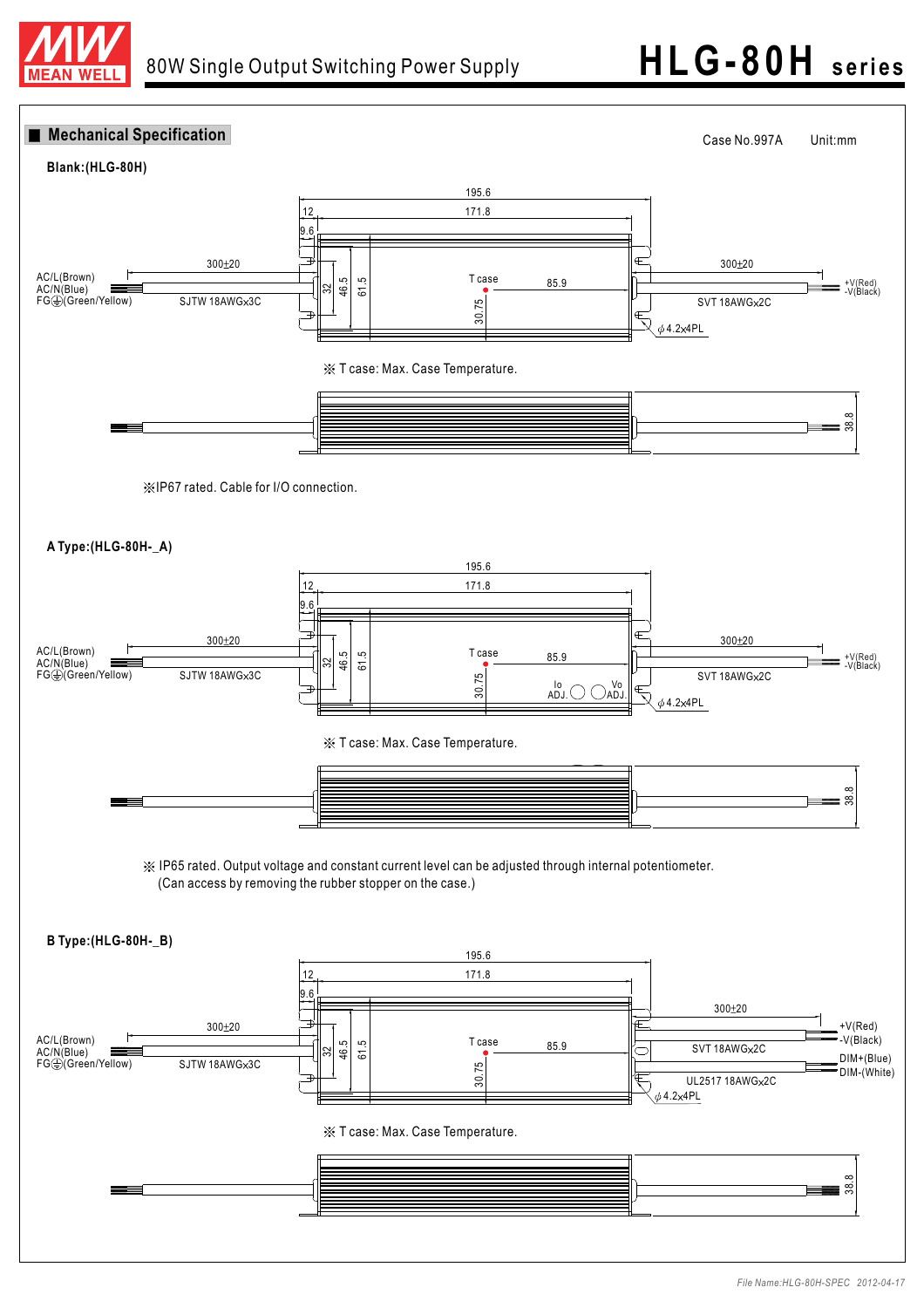

# 80W Single Output Switching Power Supply **HLG - 80H series**

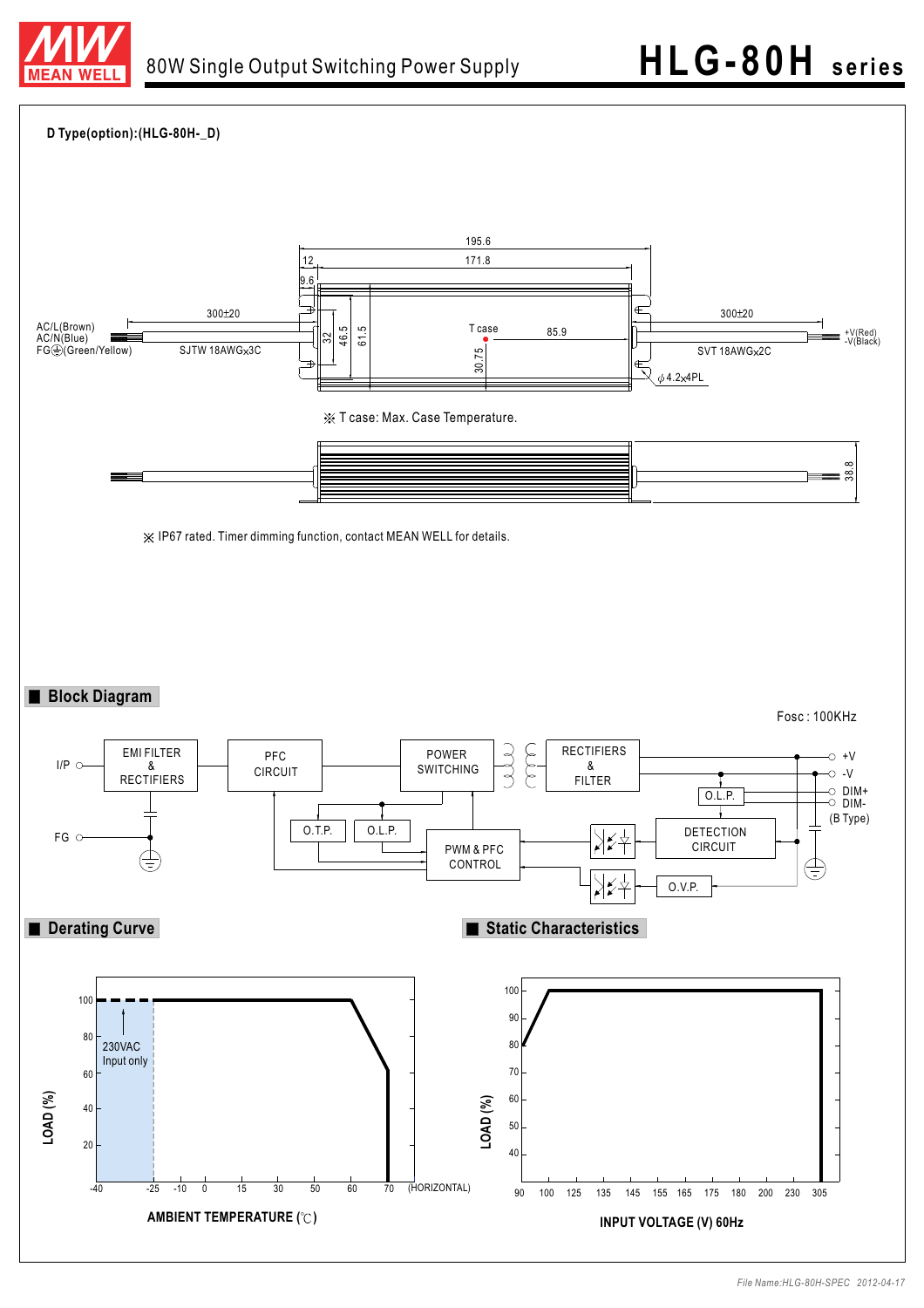

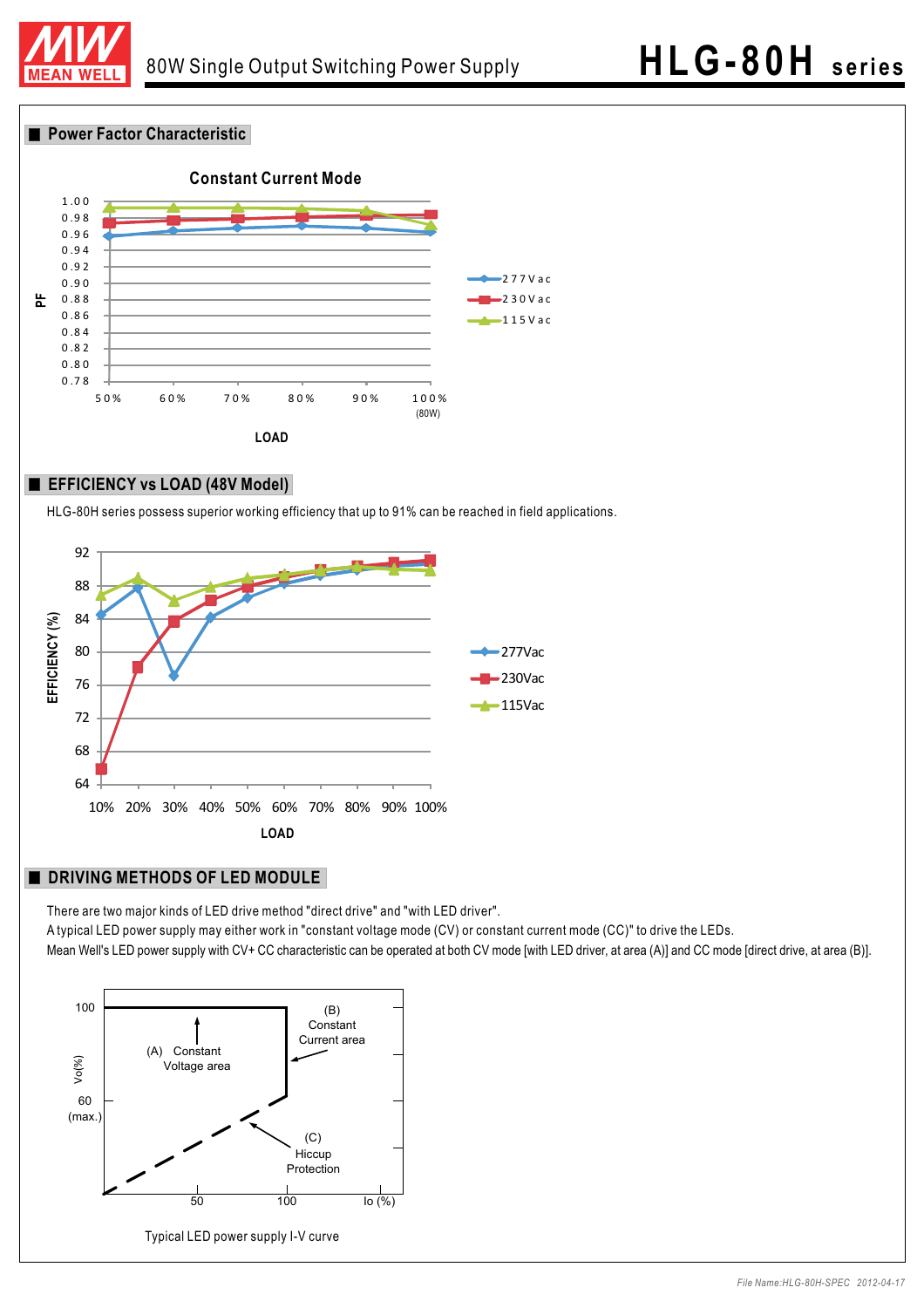

#### **Power Factor Characteristic**



#### **EFFICIENCY vs LOAD (48V Model)**

HLG-80H series possess superior working efficiency that up to 91% can be reached in field applications.



#### **DRIVING METHODS OF LED MODULE**

There are two major kinds of LED drive method "direct drive" and "with LED driver".

A typical LED power supply may either work in "constant voltage mode (CV) or constant current mode (CC)" to drive the LEDs. Mean Well's LED power supply with CV+ CC characteristic can be operated at both CV mode [with LED driver, at area (A)] and CC mode [direct drive, at area (B)].

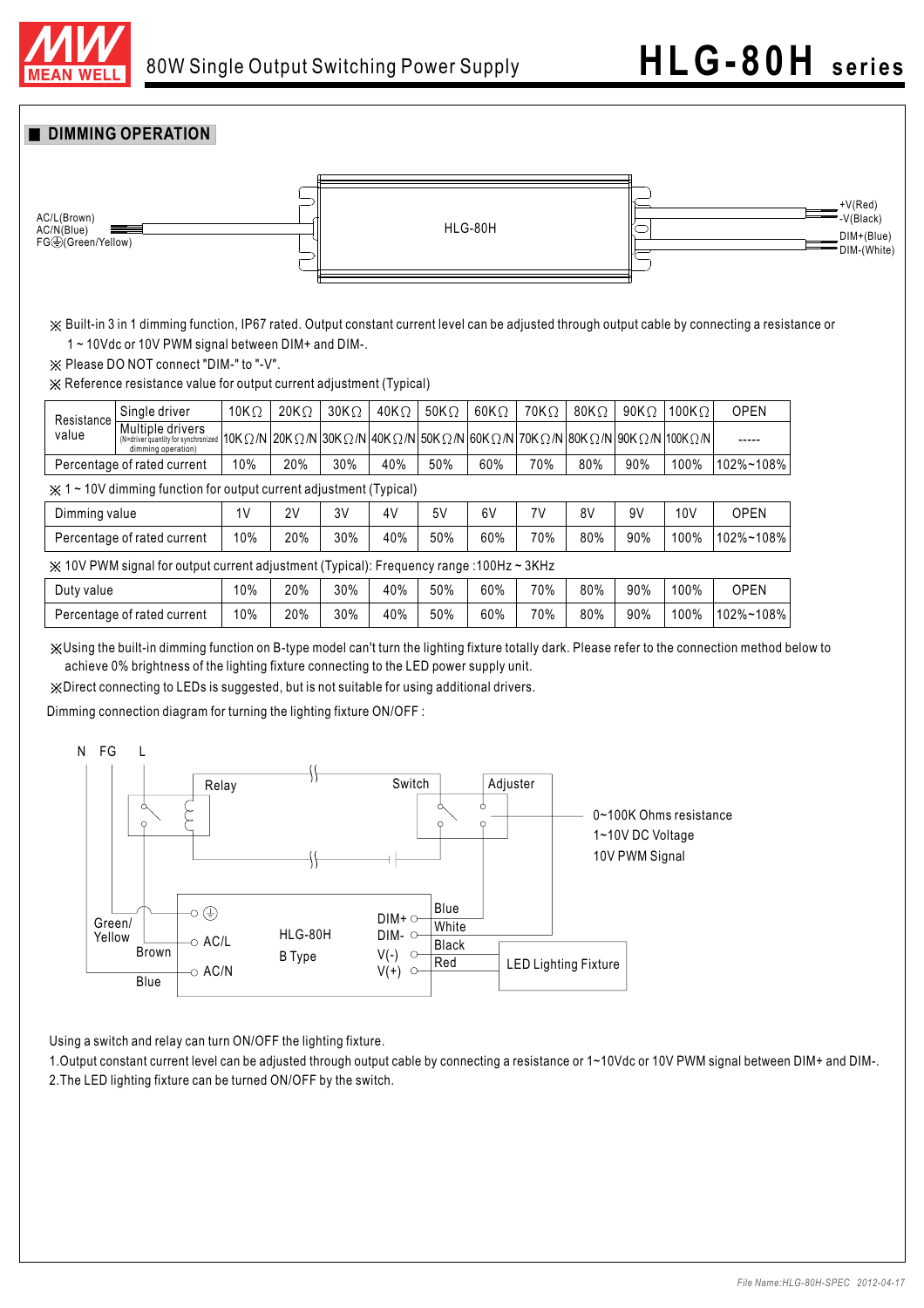

#### **DIMMING OPERATION**



Built-in 3 in 1 dimming function, IP67 rated. Output constant current level can be adjusted through output cable by connecting a resistance or 1 ~ 10Vdc or 10V PWM signal between DIM+ and DIM-.

 $\frac{1}{2}$  Please DO NOT connect "DIM-" to "-V".

Reference resistance value for output current adjustment (Typical)

| Resistance<br>value                                                                                 | Single driver                                                                 | 10K $\Omega$ | $20K\Omega$ | $30K\Omega$ | 40K $\Omega$                                                                                                                 | 50K $\Omega$ | $60K\Omega$ | 70K $\Omega$ | 80K $\Omega$ | 90K $\Omega$ | 100K $\Omega$ | <b>OPEN</b> |
|-----------------------------------------------------------------------------------------------------|-------------------------------------------------------------------------------|--------------|-------------|-------------|------------------------------------------------------------------------------------------------------------------------------|--------------|-------------|--------------|--------------|--------------|---------------|-------------|
|                                                                                                     | Multiple drivers<br>(N=driver quantity for synchronized<br>dimming operation) |              |             |             | $ 10K\Omega/N 20K\Omega/N 30K\Omega/N 40K\Omega/N 50K\Omega/N 60K\Omega/N 70K\Omega/N 80K\Omega/N 90K\Omega/N 100K\Omega/N $ |              |             |              |              |              |               | -----       |
| Percentage of rated current                                                                         |                                                                               | 10%          | 20%         | 30%         | 40%                                                                                                                          | 50%          | 60%         | 70%          | 80%          | 90%          | 100%          | 102%~108%   |
| $\frac{1}{2}$ 1 ~ 10V dimming function for output current adjustment (Typical)                      |                                                                               |              |             |             |                                                                                                                              |              |             |              |              |              |               |             |
| Dimming value                                                                                       |                                                                               | 1V           | 2V          | 3V          | 4V                                                                                                                           | 5V           | 6V          | 7V           | 8V           | 9V           | 10V           | <b>OPEN</b> |
| Percentage of rated current                                                                         |                                                                               | 10%          | 20%         | 30%         | 40%                                                                                                                          | 50%          | 60%         | 70%          | 80%          | 90%          | 100%          | 102%~108%   |
| $\angle$ 10V PWM signal for output current adjustment (Typical): Frequency range :100Hz $\sim$ 3KHz |                                                                               |              |             |             |                                                                                                                              |              |             |              |              |              |               |             |
| Duty value                                                                                          |                                                                               | 10%          | 20%         | 30%         | 40%                                                                                                                          | 50%          | 60%         | 70%          | 80%          | 90%          | 100%          | <b>OPEN</b> |
| Percentage of rated current                                                                         |                                                                               | 10%          | 20%         | 30%         | 40%                                                                                                                          | 50%          | 60%         | 70%          | 80%          | 90%          | 100%          | 102%~108%   |

Using the built-in dimming function on B-type model can't turn the lighting fixture totally dark. Please refer to the connection method below to achieve 0% brightness of the lighting fixture connecting to the LED power supply unit.

Direct connecting to LEDs is suggested, but is not suitable for using additional drivers.

Dimming connection diagram for turning the lighting fixture ON/OFF :



Using a switch and relay can turn ON/OFF the lighting fixture.

1. Output constant current level can be adjusted through output cable by connecting a resistance or 1~10Vdc or 10V PWM signal between DIM+ and DIM-. 2.The LED lighting fixture can be turned ON/OFF by the switch.